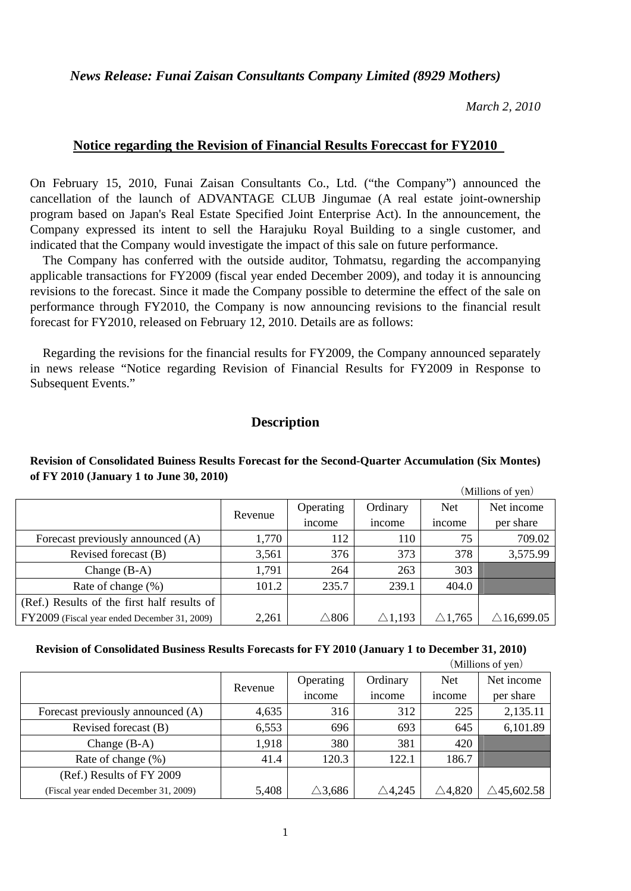*News Release: Funai Zaisan Consultants Company Limited (8929 Mothers)* 

*March 2, 2010* 

# **Notice regarding the Revision of Financial Results Foreccast for FY2010**

On February 15, 2010, Funai Zaisan Consultants Co., Ltd. ("the Company") announced the cancellation of the launch of ADVANTAGE CLUB Jingumae (A real estate joint-ownership program based on Japan's Real Estate Specified Joint Enterprise Act). In the announcement, the Company expressed its intent to sell the Harajuku Royal Building to a single customer, and indicated that the Company would investigate the impact of this sale on future performance.

The Company has conferred with the outside auditor, Tohmatsu, regarding the accompanying applicable transactions for FY2009 (fiscal year ended December 2009), and today it is announcing revisions to the forecast. Since it made the Company possible to determine the effect of the sale on performance through FY2010, the Company is now announcing revisions to the financial result forecast for FY2010, released on February 12, 2010. Details are as follows:

Regarding the revisions for the financial results for FY2009, the Company announced separately in news release "Notice regarding Revision of Financial Results for FY2009 in Response to Subsequent Events."

### **Description**

#### **Revision of Consolidated Buiness Results Forecast for the Second-Quarter Accumulation (Six Montes) of FY 2010 (January 1 to June 30, 2010)**

|                                              |         |                 |                   | (Millions of yen) |                       |  |
|----------------------------------------------|---------|-----------------|-------------------|-------------------|-----------------------|--|
|                                              | Revenue | Operating       | Ordinary          | <b>Net</b>        | Net income            |  |
|                                              |         | <i>n</i> come   | <i>n</i> come     | <i>n</i> come     | per share             |  |
| Forecast previously announced (A)            | 1,770   | 112             | 110               | 75                | 709.02                |  |
| Revised forecast (B)                         | 3,561   | 376             | 373               | 378               | 3,575.99              |  |
| Change $(B-A)$                               | 1,791   | 264             | 263               | 303               |                       |  |
| Rate of change (%)                           | 101.2   | 235.7           | 239.1             | 404.0             |                       |  |
| (Ref.) Results of the first half results of  |         |                 |                   |                   |                       |  |
| FY2009 (Fiscal year ended December 31, 2009) | 2,261   | $\triangle 806$ | $\triangle$ 1,193 | $\triangle$ 1,765 | $\triangle$ 16,699.05 |  |

#### **Revision of Consolidated Business Results Forecasts for FY 2010 (January 1 to December 31, 2010)**

|                                       |         |                   |                   |                   | (Millions of yen)     |  |
|---------------------------------------|---------|-------------------|-------------------|-------------------|-----------------------|--|
|                                       | Revenue | Operating         | Ordinary          | <b>Net</b>        | Net income            |  |
|                                       |         | income            | <i>n</i> come     | <i>n</i> come     | per share             |  |
| Forecast previously announced (A)     | 4,635   | 316               | 312               | 225               | 2,135.11              |  |
| Revised forecast (B)                  | 6,553   | 696               | 693               | 645               | 6,101.89              |  |
| Change $(B-A)$                        | 1,918   | 380               | 381               | 420               |                       |  |
| Rate of change $(\% )$                | 41.4    | 120.3             | 122.1             | 186.7             |                       |  |
| (Ref.) Results of FY 2009             |         |                   |                   |                   |                       |  |
| (Fiscal year ended December 31, 2009) | 5,408   | $\triangle$ 3,686 | $\triangle$ 4,245 | $\triangle$ 4,820 | $\triangle$ 45,602.58 |  |